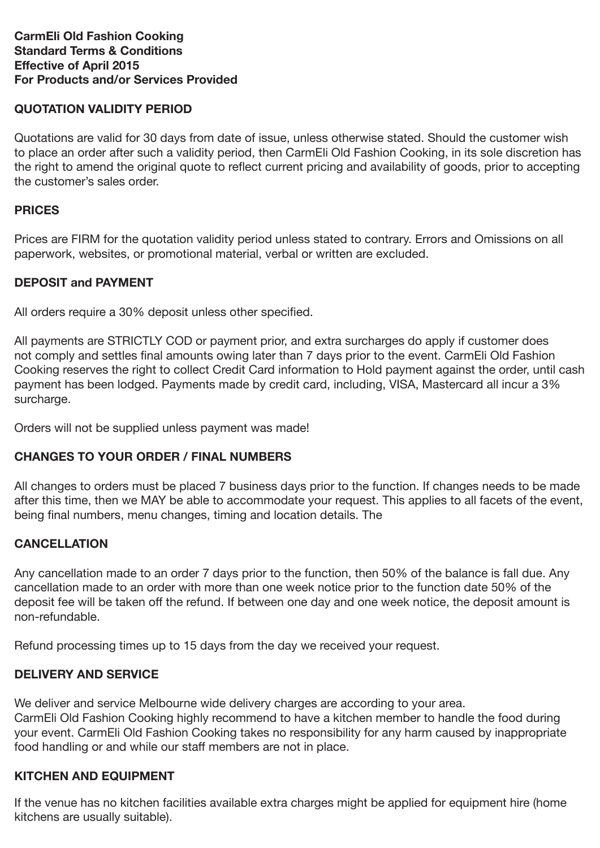#### **CarmEli Old Fashion Cooking Standard Terms & Conditions Effective of April 2015 For Products and/or Services Provided**

# **QUOTATION VALIDITY PERIOD**

Quotations are valid for 30 days from date of issue, unless otherwise stated. Should the customer wish to place an order after such a validity period, then CarmEli Old Fashion Cooking, in its sole discretion has the right to amend the original quote to reflect current pricing and availability of goods, prior to accepting the customer's sales order.

### **PRICES**

Prices are FIRM for the quotation validity period unless stated to contrary. Errors and Omissions on all paperwork, websites, or promotional material, verbal or written are excluded.

## **DEPOSIT and PAYMENT**

All orders require a 30% deposit unless other specified.

All payments are STRICTLY COD or payment prior, and extra surcharges do apply if customer does not comply and settles final amounts owing later than 7 days prior to the event. CarmEli Old Fashion Cooking reserves the right to collect Credit Card information to Hold payment against the order, until cash payment has been lodged. Payments made by credit card, including, VISA, Mastercard all incur a 3% surcharge.

Orders will not be supplied unless payment was made!

## **CHANGES TO YOUR ORDER / FINAL NUMBERS**

All changes to orders must be placed 7 business days prior to the function. If changes needs to be made after this time, then we MAY be able to accommodate your request. This applies to all facets of the event, being final numbers, menu changes, timing and location details. The

## **CANCELLATION**

Any cancellation made to an order 7 days prior to the function, then 50% of the balance is fall due. Any cancellation made to an order with more than one week notice prior to the function date 50% of the deposit fee will be taken off the refund. If between one day and one week notice, the deposit amount is non-refundable.

Refund processing times up to 15 days from the day we received your request.

## **DELIVERY AND SERVICE**

We deliver and service Melbourne wide delivery charges are according to your area.

CarmEli Old Fashion Cooking highly recommend to have a kitchen member to handle the food during your event. CarmEli Old Fashion Cooking takes no responsibility for any harm caused by inappropriate food handling or and while our staff members are not in place.

#### **KITCHEN AND EQUIPMENT**

If the venue has no kitchen facilities available extra charges might be applied for equipment hire (home kitchens are usually suitable).